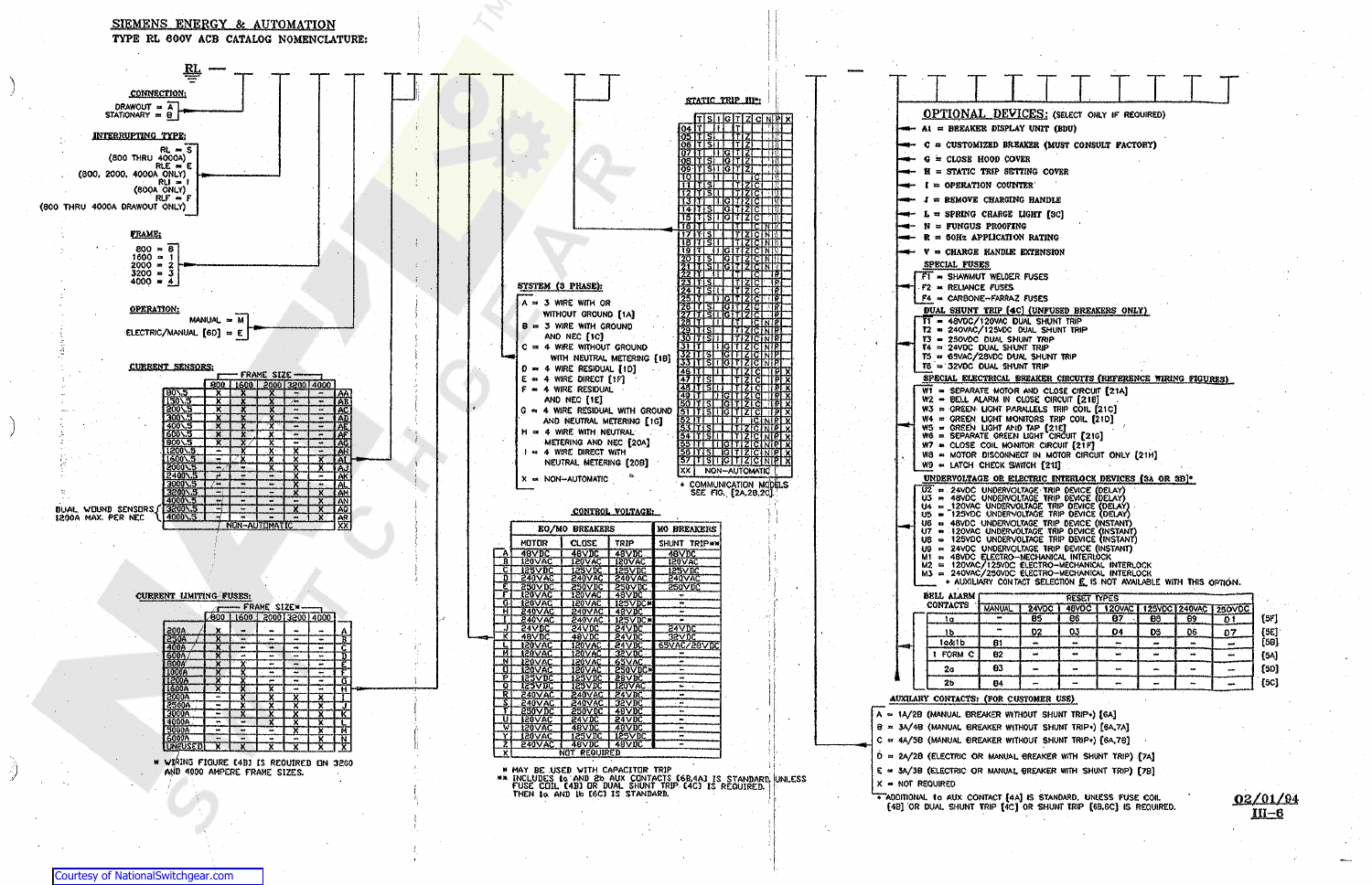

SIEMENS ENERGY & AUTOMATION

|                                                                             | LAY UNIT (BDU)          |                                                              | VICES: (SELECT ONLY IF REQUIRED)                               |        |                     |                |      |  |  |  |  |  |  |
|-----------------------------------------------------------------------------|-------------------------|--------------------------------------------------------------|----------------------------------------------------------------|--------|---------------------|----------------|------|--|--|--|--|--|--|
| reaker (must consult factory)                                               |                         |                                                              |                                                                |        |                     |                |      |  |  |  |  |  |  |
| :OVER                                                                       |                         |                                                              |                                                                |        |                     |                |      |  |  |  |  |  |  |
| Etting cover                                                                |                         |                                                              |                                                                |        |                     |                |      |  |  |  |  |  |  |
|                                                                             | unter :                 |                                                              |                                                                |        |                     |                |      |  |  |  |  |  |  |
|                                                                             | hng handle              |                                                              |                                                                |        |                     |                |      |  |  |  |  |  |  |
|                                                                             | E LIGHT [3C]            |                                                              |                                                                |        |                     |                |      |  |  |  |  |  |  |
| Fing                                                                        |                         |                                                              |                                                                |        |                     |                |      |  |  |  |  |  |  |
|                                                                             | IION RATING             |                                                              |                                                                |        |                     |                |      |  |  |  |  |  |  |
|                                                                             | le extension            |                                                              |                                                                |        |                     |                |      |  |  |  |  |  |  |
|                                                                             | IER FUSES               |                                                              |                                                                |        |                     |                |      |  |  |  |  |  |  |
| s                                                                           |                         |                                                              |                                                                |        |                     |                |      |  |  |  |  |  |  |
|                                                                             | VAZ FUSES               |                                                              |                                                                |        |                     |                |      |  |  |  |  |  |  |
|                                                                             | DUAL SHUNT TRIP         |                                                              | <b>[4C] (UNFUSED BREAKERS ONLY)</b>                            |        |                     |                |      |  |  |  |  |  |  |
|                                                                             | C DUAL SHUNT TRIP       |                                                              |                                                                |        |                     |                |      |  |  |  |  |  |  |
|                                                                             | SHUNT TRIP<br>hunt trip |                                                              |                                                                |        |                     |                |      |  |  |  |  |  |  |
|                                                                             | DUAL SHUNT TRIP         |                                                              |                                                                |        |                     |                |      |  |  |  |  |  |  |
|                                                                             | HUNT TRIP               |                                                              |                                                                |        |                     |                |      |  |  |  |  |  |  |
| L BREAKER CIRCUITS (REFERENCE WIRING FIGURES)<br>OR AND CLOSE CIRCUIT [21A] |                         |                                                              |                                                                |        |                     |                |      |  |  |  |  |  |  |
|                                                                             |                         | I CLOSE CIRCUIT [218]                                        |                                                                |        |                     |                |      |  |  |  |  |  |  |
|                                                                             |                         | PARALLELS TRIP COIL [21C]<br>MONITORS TRIP COIL [21D]        |                                                                |        |                     |                |      |  |  |  |  |  |  |
|                                                                             | and Tap [21E]           | en light circuit [21g]                                       |                                                                |        |                     |                |      |  |  |  |  |  |  |
|                                                                             |                         | ONITOR CIRCUIT [21F]                                         |                                                                |        |                     |                |      |  |  |  |  |  |  |
|                                                                             | SWITCH [21I]            |                                                              | INECT IN MOTOR CIRCUIT ONLY [21H]                              |        |                     |                |      |  |  |  |  |  |  |
|                                                                             |                         |                                                              | ELECTRIC INTERLOCK DEVICES [3A OR 3B]*                         |        |                     |                |      |  |  |  |  |  |  |
|                                                                             |                         |                                                              |                                                                |        |                     |                |      |  |  |  |  |  |  |
|                                                                             |                         | VOLTAGE TRIP DEVICE (DELAY)<br>VOLTAGE TRIP DEVICE (DELAY)   |                                                                |        |                     |                |      |  |  |  |  |  |  |
|                                                                             |                         | XVOLTAGE TRIP DEVICE (DELAY)<br>RYOLTAGE TRIP DEVICE (DELAY) |                                                                |        |                     |                |      |  |  |  |  |  |  |
| VOLTAGE TRIP DEVICE (INSTANT)<br>VOLTAGE TRIP DEVICE (INSTANT               |                         |                                                              |                                                                |        |                     |                |      |  |  |  |  |  |  |
|                                                                             |                         | VOLTAGE TRIP DEVICE (INSTANT)                                | RVOLTAGE TRIP DEVICE (INSTANT)                                 |        |                     |                |      |  |  |  |  |  |  |
|                                                                             |                         | O-MECHANICAL INTERLOCK                                       |                                                                |        |                     |                |      |  |  |  |  |  |  |
| ۲C                                                                          |                         |                                                              | C ELECTRO-MECHANICAL INTERLOCK<br>ELECTRO-MECHANICAL INTERLOCK |        |                     |                |      |  |  |  |  |  |  |
|                                                                             |                         |                                                              | NTACT SELECTION E. IS NOT AVAILABLE WITH THIS OPTION.          |        |                     |                |      |  |  |  |  |  |  |
|                                                                             | 24VDC                   | <b>RESET TYPES</b><br>48VOC                                  | <b>120VAC</b>                                                  | 125VDC |                     | 250VDC         |      |  |  |  |  |  |  |
| ı.,                                                                         | BS                      | 86                                                           | 87                                                             | 88     | <b>240VAC</b><br>69 | 0 <sub>1</sub> | [5F] |  |  |  |  |  |  |
|                                                                             | <u>02</u>               | 03                                                           | <u>04</u>                                                      | DS.    | 06                  | 07             | [5C] |  |  |  |  |  |  |
|                                                                             |                         |                                                              |                                                                |        |                     |                | (58) |  |  |  |  |  |  |
|                                                                             | ma.                     | œ                                                            | tes.                                                           |        | ÷                   | mint.          | [5A] |  |  |  |  |  |  |
|                                                                             |                         |                                                              |                                                                |        |                     |                | [50] |  |  |  |  |  |  |
|                                                                             |                         |                                                              |                                                                |        |                     |                | [5C] |  |  |  |  |  |  |
|                                                                             | CUSTOMER USE)           |                                                              |                                                                |        |                     |                |      |  |  |  |  |  |  |

D = 2A/2B (ELECTRIC OR MANUAL BREAKER WITH SHUNT TRIP) [7A]

ADDITIONAL to AUX CONTACT [4A] IS STANDARD, UNLESS FUSE COIL [4B] OR DUAL SHUNT TRIP [4C] OR SHUNT TRIP [6B,6C] IS REQUIRED.